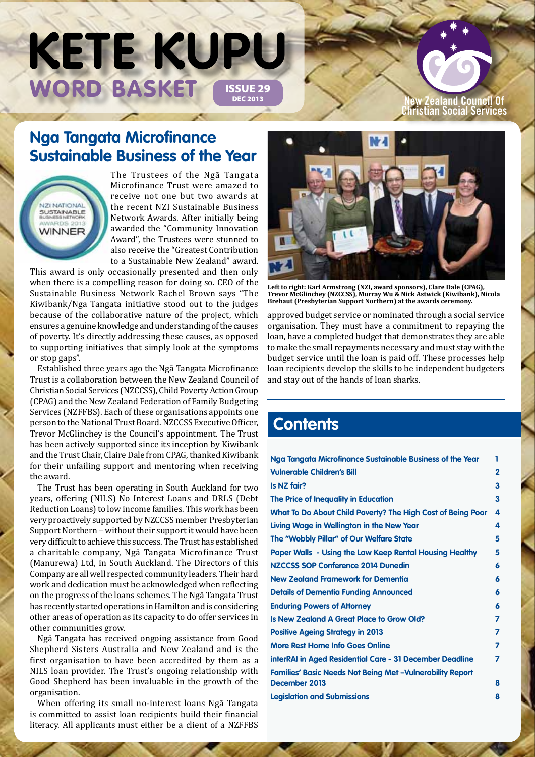# WORD BASKET ISSUE 29 **KETE KUPU**

#### **New Zealand Council Of Christian Social Services**

## **Nga Tangata Microfinance Sustainable Business of the Year**

**NZI NATIONAL SUSTAINABLE WINNER** 

The Trustees of the Ngā Tangata Microfinance Trust were amazed to receive not one but two awards at the recent NZI Sustainable Business Network Awards. After initially being awarded the "Community Innovation Award", the Trustees were stunned to also receive the "Greatest Contribution to a Sustainable New Zealand" award.

This award is only occasionally presented and then only when there is a compelling reason for doing so. CEO of the Sustainable Business Network Rachel Brown says "The Kiwibank/Nga Tangata initiative stood out to the judges because of the collaborative nature of the project, which ensures a genuine knowledge and understanding of the causes of poverty. It's directly addressing these causes, as opposed to supporting initiatives that simply look at the symptoms or stop gaps".

Established three years ago the Ngā Tangata Microfinance Trust is a collaboration between the New Zealand Council of Christian Social Services (NZCCSS), Child Poverty Action Group (CPAG) and the New Zealand Federation of Family Budgeting Services (NZFFBS). Each of these organisations appoints one person to the National Trust Board. NZCCSS Executive Officer, Trevor McGlinchey is the Council's appointment. The Trust has been actively supported since its inception by Kiwibank and the Trust Chair, Claire Dale from CPAG, thanked Kiwibank for their unfailing support and mentoring when receiving the award.

The Trust has been operating in South Auckland for two years, offering (NILS) No Interest Loans and DRLS (Debt Reduction Loans) to low income families. This work has been very proactively supported by NZCCSS member Presbyterian Support Northern – without their support it would have been very difficult to achieve this success. The Trust has established a charitable company, Ngā Tangata Microfinance Trust (Manurewa) Ltd, in South Auckland. The Directors of this Company are all well respected community leaders. Their hard work and dedication must be acknowledged when reflecting on the progress of the loans schemes. The Ngā Tangata Trust has recently started operations in Hamilton and is considering other areas of operation as its capacity to do offer services in other communities grow.

Ngā Tangata has received ongoing assistance from Good Shepherd Sisters Australia and New Zealand and is the first organisation to have been accredited by them as a NILS loan provider. The Trust's ongoing relationship with Good Shepherd has been invaluable in the growth of the organisation.

When offering its small no-interest loans Ngā Tangata is committed to assist loan recipients build their financial literacy. All applicants must either be a client of a NZFFBS



**Left to right: Karl Armstrong (NZI, award sponsors), Clare Dale (CPAG), Trevor McGlinchey (NZCCSS), Murray Wu & Nick Astwick (Kiwibank), Nicola Brehaut (Presbyterian Support Northern) at the awards ceremony.**

approved budget service or nominated through a social service organisation. They must have a commitment to repaying the loan, have a completed budget that demonstrates they are able to make the small repayments necessary and must stay with the budget service until the loan is paid off. These processes help loan recipients develop the skills to be independent budgeters and stay out of the hands of loan sharks.

## **Contents**

| Nga Tangata Microfinance Sustainable Business of the Year       | 1              |
|-----------------------------------------------------------------|----------------|
| <b>Vulnerable Children's Bill</b>                               | $\overline{2}$ |
| Is NZ fair?                                                     | 3              |
| The Price of Inequality in Education                            | 3              |
| What To Do About Child Poverty? The High Cost of Being Poor     | 4              |
| Living Wage in Wellington in the New Year                       | 4              |
| The "Wobbly Pillar" of Our Welfare State                        | 5              |
| <b>Paper Walls - Using the Law Keep Rental Housing Healthy</b>  | 5              |
| NZCCSS SOP Conference 2014 Dunedin                              | 6              |
| <b>New Zealand Framework for Dementia</b>                       | 6              |
| <b>Details of Dementia Funding Announced</b>                    | 6              |
| <b>Enduring Powers of Attorney</b>                              | 6              |
| Is New Zealand A Great Place to Grow Old?                       | 7              |
| <b>Positive Ageing Strategy in 2013</b>                         | 7              |
| <b>More Rest Home Info Goes Online</b>                          | 7              |
| interRAI in Aged Residential Care - 31 December Deadline        | 7              |
| <b>Families' Basic Needs Not Being Met-Vulnerability Report</b> |                |
| December 2013                                                   | 8              |
| <b>Legislation and Submissions</b>                              | 8              |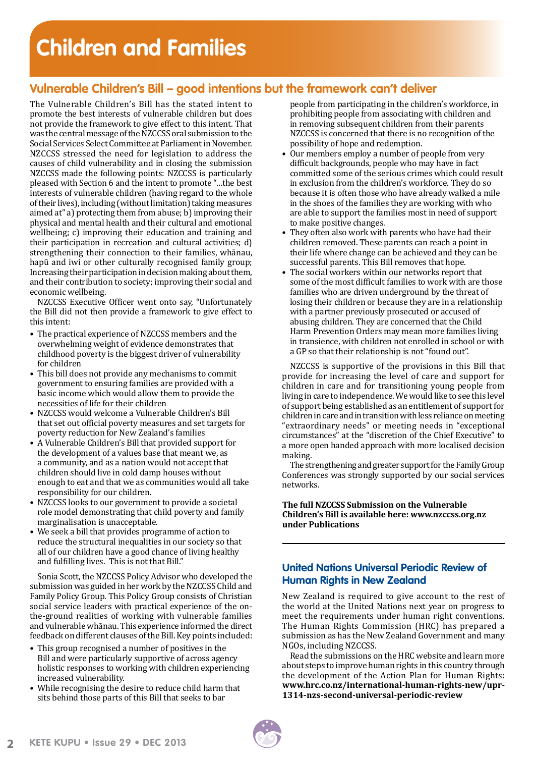# **Children and Families**

## **Vulnerable Children's Bill – good intentions but the framework can't deliver**

The Vulnerable Children's Bill has the stated intent to promote the best interests of vulnerable children but does not provide the framework to give effect to this intent. That was the central message of the NZCCSS oral submission to the Social Services Select Committee at Parliament in November. NZCCSS stressed the need for legislation to address the causes of child vulnerability and in closing the submission NZCCSS made the following points: NZCCSS is particularly pleased with Section 6 and the intent to promote "…the best interests of vulnerable children (having regard to the whole of their lives), including (without limitation) taking measures aimed at" a) protecting them from abuse; b) improving their physical and mental health and their cultural and emotional wellbeing; c) improving their education and training and their participation in recreation and cultural activities; d) strengthening their connection to their families, whānau, hapū and iwi or other culturally recognised family group; Increasing their participation in decision making about them, and their contribution to society; improving their social and economic wellbeing.

NZCCSS Executive Officer went onto say, "Unfortunately the Bill did not then provide a framework to give effect to this intent:

- The practical experience of NZCCSS members and the overwhelming weight of evidence demonstrates that childhood poverty is the biggest driver of vulnerability for children
- This bill does not provide any mechanisms to commit government to ensuring families are provided with a basic income which would allow them to provide the necessities of life for their children
- NZCCSS would welcome a Vulnerable Children's Bill that set out official poverty measures and set targets for poverty reduction for New Zealand's families
- A Vulnerable Children's Bill that provided support for the development of a values base that meant we, as a community, and as a nation would not accept that children should live in cold damp houses without enough to eat and that we as communities would all take responsibility for our children.
- NZCCSS looks to our government to provide a societal role model demonstrating that child poverty and family marginalisation is unacceptable.
- We seek a bill that provides programme of action to reduce the structural inequalities in our society so that all of our children have a good chance of living healthy and fulfilling lives. This is not that Bill."

Sonia Scott, the NZCCSS Policy Advisor who developed the submission was guided in her work by the NZCCSS Child and Family Policy Group. This Policy Group consists of Christian social service leaders with practical experience of the onthe-ground realities of working with vulnerable families and vulnerable whānau. This experience informed the direct feedback on different clauses of the Bill. Key points included:

- This group recognised a number of positives in the Bill and were particularly supportive of across agency holistic responses to working with children experiencing increased vulnerability.
- While recognising the desire to reduce child harm that sits behind those parts of this Bill that seeks to bar

people from participating in the children's workforce, in prohibiting people from associating with children and in removing subsequent children from their parents NZCCSS is concerned that there is no recognition of the possibility of hope and redemption.

- Our members employ a number of people from very difficult backgrounds, people who may have in fact committed some of the serious crimes which could result in exclusion from the children's workforce. They do so because it is often those who have already walked a mile in the shoes of the families they are working with who are able to support the families most in need of support to make positive changes.
- They often also work with parents who have had their children removed. These parents can reach a point in their life where change can be achieved and they can be successful parents. This Bill removes that hope.
- The social workers within our networks report that some of the most difficult families to work with are those families who are driven underground by the threat of losing their children or because they are in a relationship with a partner previously prosecuted or accused of abusing children. They are concerned that the Child Harm Prevention Orders may mean more families living in transience, with children not enrolled in school or with a GP so that their relationship is not "found out".

NZCCSS is supportive of the provisions in this Bill that provide for increasing the level of care and support for children in care and for transitioning young people from living in care to independence. We would like to see this level of support being established as an entitlement of support for children in care and in transition with less reliance on meeting "extraordinary needs" or meeting needs in "exceptional circumstances" at the "discretion of the Chief Executive" to a more open handed approach with more localised decision making.

The strengthening and greater support for the Family Group Conferences was strongly supported by our social services networks.

#### **The full NZCCSS Submission on the Vulnerable Children's Bill is available here: www.nzccss.org.nz under Publications**

#### **United Nations Universal Periodic Review of Human Rights in New Zealand**

New Zealand is required to give account to the rest of the world at the United Nations next year on progress to meet the requirements under human right conventions. The Human Rights Commission (HRC) has prepared a submission as has the New Zealand Government and many NGOs, including NZCCSS.

Read the submissions on the HRC website and learn more about steps to improve human rights in this country through the development of the Action Plan for Human Rights: **[www.hrc.co.nz/international-human-rights-new/upr-](http://www.hrc.co.nz/international-human-rights-new/upr-1314-nzs-second-universal-periodic-review)[1314-nzs-second-universal-periodic-review](http://www.hrc.co.nz/international-human-rights-new/upr-1314-nzs-second-universal-periodic-review)**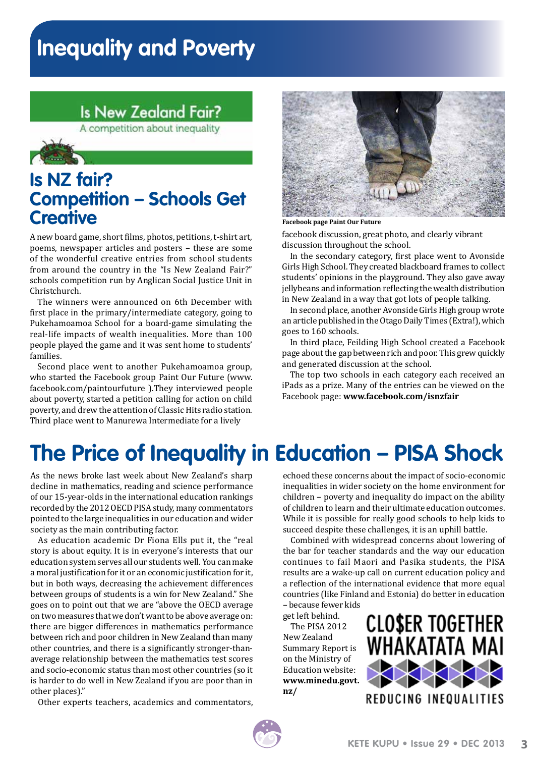# **Inequality and Poverty**

## **Is New Zealand Fair?**

A competition about inequality



## **Is NZ fair? Competition – Schools Get Creative**

A new board game, short films, photos, petitions, t-shirt art, poems, newspaper articles and posters – these are some of the wonderful creative entries from school students from around the country in the "Is New Zealand Fair?" schools competition run by Anglican Social Justice Unit in Christchurch.

The winners were announced on 6th December with first place in the primary/intermediate category, going to Pukehamoamoa School for a board-game simulating the real-life impacts of wealth inequalities. More than 100 people played the game and it was sent home to students' families.

Second place went to another Pukehamoamoa group, who started the Facebook group Paint Our Future [\(www.](https://www.facebook.com/paintourfuture) [facebook.com/paintourfuture](https://www.facebook.com/paintourfuture) ).They interviewed people about poverty, started a petition calling for action on child poverty, and drew the attention of Classic Hits radio station. Third place went to Manurewa Intermediate for a lively



**Facebook page Paint Our Future**

facebook discussion, great photo, and clearly vibrant discussion throughout the school.

In the secondary category, first place went to Avonside Girls High School. They created blackboard frames to collect students' opinions in the playground. They also gave away jellybeans and information reflecting the wealth distribution in New Zealand in a way that got lots of people talking.

In second place, another Avonside Girls High group wrote an article published in the Otago Daily Times (Extra!), which goes to 160 schools.

In third place, Feilding High School created a Facebook page about the gap between rich and poor. This grew quickly and generated discussion at the school.

The top two schools in each category each received an iPads as a prize. Many of the entries can be viewed on the Facebook page: **www.facebook.com/isnzfair**

## **The Price of Inequality in Education – PISA Shock**

As the news broke last week about New Zealand's sharp decline in mathematics, reading and science performance of our 15-year-olds in the international education rankings recorded by the 2012 OECD PISA study, many commentators pointed to the large inequalities in our education and wider society as the main contributing factor.

As education academic Dr Fiona Ells put it, the "real story is about equity. It is in everyone's interests that our education system serves all our students well. You can make a moral justification for it or an economic justification for it, but in both ways, decreasing the achievement differences between groups of students is a win for New Zealand." She goes on to point out that we are "above the OECD average on two measures that we don't want to be above average on: there are bigger differences in mathematics performance between rich and poor children in New Zealand than many other countries, and there is a significantly stronger-thanaverage relationship between the mathematics test scores and socio-economic status than most other countries (so it is harder to do well in New Zealand if you are poor than in other places)."

Other experts teachers, academics and commentators,

echoed these concerns about the impact of socio-economic inequalities in wider society on the home environment for children – poverty and inequality do impact on the ability of children to learn and their ultimate education outcomes. While it is possible for really good schools to help kids to succeed despite these challenges, it is an uphill battle.

Combined with widespread concerns about lowering of the bar for teacher standards and the way our education continues to fail Maori and Pasika students, the PISA results are a wake-up call on current education policy and a reflection of the international evidence that more equal countries (like Finland and Estonia) do better in education – because fewer kids

get left behind. The PISA 2012 New Zealand Summary Report is on the Ministry of Education website: **[www.minedu.govt.](http://www.minedu.govt.nz/NZEducation/EducationPolicies/InternationalEducation/ForInternationalStudentsAndParents/PISA.aspx) [nz/](http://www.minedu.govt.nz/NZEducation/EducationPolicies/InternationalEducation/ForInternationalStudentsAndParents/PISA.aspx)** 

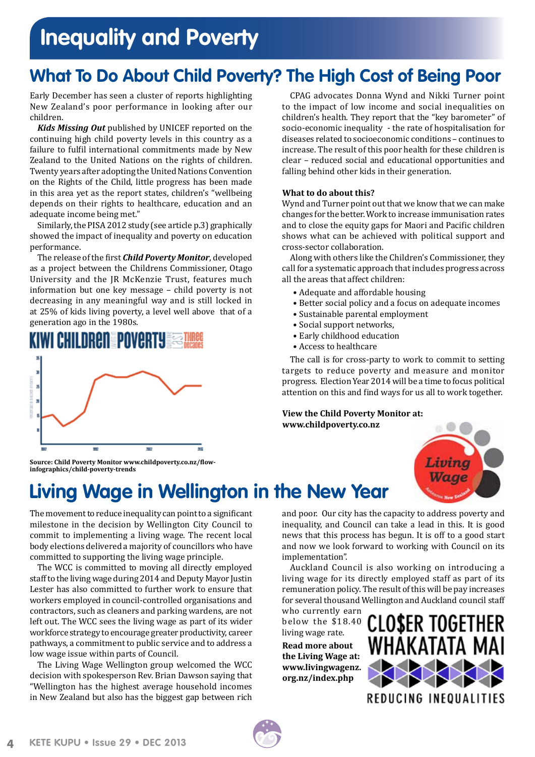# **Inequality and Poverty**

## **What To Do About Child Poverty? The High Cost of Being Poor**

Early December has seen a cluster of reports highlighting New Zealand's poor performance in looking after our children.

*Kids Missing Out* published by UNICEF reported on the continuing high child poverty levels in this country as a failure to fulfil international commitments made by New Zealand to the United Nations on the rights of children. Twenty years after adopting the United Nations Convention on the Rights of the Child, little progress has been made in this area yet as the report states, children's "wellbeing depends on their rights to healthcare, education and an adequate income being met."

Similarly, the PISA 2012 study (see article p.3) graphically showed the impact of inequality and poverty on education performance.

The release of the first *Child Poverty Monitor*, developed as a project between the Childrens Commissioner, Otago University and the JR McKenzie Trust, features much information but one key message – child poverty is not decreasing in any meaningful way and is still locked in at 25% of kids living poverty, a level well above that of a generation ago in the 1980s.



CPAG advocates Donna Wynd and Nikki Turner point to the impact of low income and social inequalities on children's health. They report that the "key barometer" of socio-economic inequality - the rate of hospitalisation for diseases related to socioeconomic conditions – continues to increase. The result of this poor health for these children is clear – reduced social and educational opportunities and falling behind other kids in their generation.

#### **What to do about this?**

Wynd and Turner point out that we know that we can make changes for the better. Work to increase immunisation rates and to close the equity gaps for Maori and Pacific children shows what can be achieved with political support and cross-sector collaboration.

Along with others like the Children's Commissioner, they call for a systematic approach that includes progress across all the areas that affect children:

- Adequate and affordable housing
- Better social policy and a focus on adequate incomes
- Sustainable parental employment
- Social support networks,
- Early childhood education
- Access to healthcare

The call is for cross-party to work to commit to setting targets to reduce poverty and measure and monitor progress. Election Year 2014 will be a time to focus political attention on this and find ways for us all to work together.

#### **View the Child Poverty Monitor at: <www.childpoverty.co.nz>**



**Source: Child Poverty Monitor [www.childpoverty.co.nz/flow](http://www.childpoverty.co.nz/flow-infographics/child-poverty-trends)[infographics/child-poverty-trends](http://www.childpoverty.co.nz/flow-infographics/child-poverty-trends)** 

## **Living Wage in Wellington in the New Year**

The movement to reduce inequality can point to a significant milestone in the decision by Wellington City Council to commit to implementing a living wage. The recent local body elections delivered a majority of councillors who have committed to supporting the living wage principle.

The WCC is committed to moving all directly employed staff to the living wage during 2014 and Deputy Mayor Justin Lester has also committed to further work to ensure that workers employed in council-controlled organisations and contractors, such as cleaners and parking wardens, are not left out. The WCC sees the living wage as part of its wider workforce strategy to encourage greater productivity, career pathways, a commitment to public service and to address a low wage issue within parts of Council.

The Living Wage Wellington group welcomed the WCC decision with spokesperson Rev. Brian Dawson saying that "Wellington has the highest average household incomes in New Zealand but also has the biggest gap between rich and poor. Our city has the capacity to address poverty and inequality, and Council can take a lead in this. It is good news that this process has begun. It is off to a good start and now we look forward to working with Council on its implementation".

Auckland Council is also working on introducing a living wage for its directly employed staff as part of its remuneration policy. The result of this will be pay increases for several thousand Wellington and Auckland council staff

who currently earn below the \$18.40 living wage rate.

**Read more about the Living Wage at: [www.livingwagenz.](http://www.livingwagenz.org.nz/index.php) [org.nz/index.php](http://www.livingwagenz.org.nz/index.php)** 



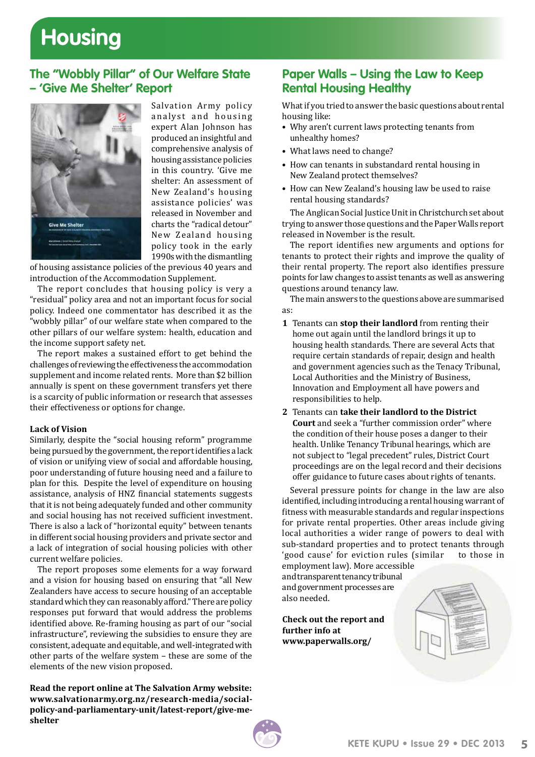# **Housing**

### **The "Wobbly Pillar" of Our Welfare State – 'Give Me Shelter' Report**



Salvation Army policy analyst and housing expert Alan Johnson has produced an insightful and comprehensive analysis of housing assistance policies in this country. 'Give me shelter: An assessment of New Zealand's housing assistance policies' was released in November and charts the "radical detour" New Zealand housing policy took in the early 1990s with the dismantling

of housing assistance policies of the previous 40 years and introduction of the Accommodation Supplement.

The report concludes that housing policy is very a "residual" policy area and not an important focus for social policy. Indeed one commentator has described it as the "wobbly pillar" of our welfare state when compared to the other pillars of our welfare system: health, education and the income support safety net.

The report makes a sustained effort to get behind the challenges of reviewing the effectiveness the accommodation supplement and income related rents. More than \$2 billion annually is spent on these government transfers yet there is a scarcity of public information or research that assesses their effectiveness or options for change.

#### **Lack of Vision**

Similarly, despite the "social housing reform" programme being pursued by the government, the report identifies a lack of vision or unifying view of social and affordable housing, poor understanding of future housing need and a failure to plan for this. Despite the level of expenditure on housing assistance, analysis of HNZ financial statements suggests that it is not being adequately funded and other community and social housing has not received sufficient investment. There is also a lack of "horizontal equity" between tenants in different social housing providers and private sector and a lack of integration of social housing policies with other current welfare policies.

The report proposes some elements for a way forward and a vision for housing based on ensuring that "all New Zealanders have access to secure housing of an acceptable standard which they can reasonably afford." There are policy responses put forward that would address the problems identified above. Re-framing housing as part of our "social infrastructure", reviewing the subsidies to ensure they are consistent, adequate and equitable, and well-integrated with other parts of the welfare system – these are some of the elements of the new vision proposed.

**Read the report online at The Salvation Army website: [www.salvationarmy.org.nz/research-media/social](http://www.salvationarmy.org.nz/research-media/social-policy-and-parliamentary-unit/latest-report/give-me-shelter)[policy-and-parliamentary-unit/latest-report/give-me](http://www.salvationarmy.org.nz/research-media/social-policy-and-parliamentary-unit/latest-report/give-me-shelter)[shelter](http://www.salvationarmy.org.nz/research-media/social-policy-and-parliamentary-unit/latest-report/give-me-shelter)** 

### **Paper Walls – Using the Law to Keep Rental Housing Healthy**

What if you tried to answer the basic questions about rental housing like:

- Why aren't current laws protecting tenants from unhealthy homes?
- What laws need to change?
- How can tenants in substandard rental housing in New Zealand protect themselves?
- How can New Zealand's housing law be used to raise rental housing standards?

The Anglican Social Justice Unit in Christchurch set about trying to answer those questions and the Paper Walls report released in November is the result.

The report identifies new arguments and options for tenants to protect their rights and improve the quality of their rental property. The report also identifies pressure points for law changes to assist tenants as well as answering questions around tenancy law.

The main answers to the questions above are summarised as:

- **1** Tenants can **stop their landlord** from renting their home out again until the landlord brings it up to housing health standards. There are several Acts that require certain standards of repair, design and health and government agencies such as the Tenacy Tribunal, Local Authorities and the Ministry of Business, Innovation and Employment all have powers and responsibilities to help.
- **2** Tenants can **take their landlord to the District Court** and seek a "further commission order" where the condition of their house poses a danger to their health. Unlike Tenancy Tribunal hearings, which are not subject to "legal precedent" rules, District Court proceedings are on the legal record and their decisions offer guidance to future cases about rights of tenants.

Several pressure points for change in the law are also identified, including introducing a rental housing warrant of fitness with measurable standards and regular inspections for private rental properties. Other areas include giving local authorities a wider range of powers to deal with sub-standard properties and to protect tenants through<br>'good cause' for eviction rules (similar to those in 'good cause' for eviction rules (similar employment law). More accessible

and transparent tenancy tribunal and government processes are also needed.

**Check out the report and further info at www.paperwalls.org/**

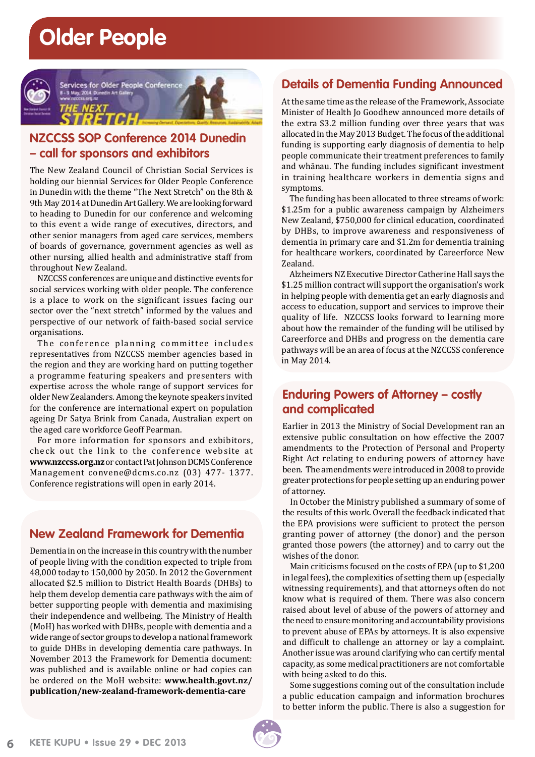## **Older People**



## **NZCCSS SOP Conference 2014 Dunedin – call for sponsors and exhibitors**

The New Zealand Council of Christian Social Services is holding our biennial Services for Older People Conference in Dunedin with the theme "The Next Stretch" on the 8th & 9th May 2014 at Dunedin Art Gallery. We are looking forward to heading to Dunedin for our conference and welcoming to this event a wide range of executives, directors, and other senior managers from aged care services, members of boards of governance, government agencies as well as other nursing, allied health and administrative staff from throughout New Zealand.

NZCCSS conferences are unique and distinctive events for social services working with older people. The conference is a place to work on the significant issues facing our sector over the "next stretch" informed by the values and perspective of our network of faith-based social service organisations.

The conference planning committee includes representatives from NZCCSS member agencies based in the region and they are working hard on putting together a programme featuring speakers and presenters with expertise across the whole range of support services for older New Zealanders. Among the keynote speakers invited for the conference are international expert on population ageing Dr Satya Brink from Canada, Australian expert on the aged care workforce Geoff Pearman.

For more information for sponsors and exbibitors, check out the link to the conference website at **<www.nzccss.org.nz>** or contact Pat Johnson DCMS Conference Management convene@dcms.co.nz (03) 477- 1377. Conference registrations will open in early 2014.

## **New Zealand Framework for Dementia**

Dementia in on the increase in this country with the number of people living with the condition expected to triple from 48,000 today to 150,000 by 2050. In 2012 the Government allocated \$2.5 million to District Health Boards (DHBs) to help them develop dementia care pathways with the aim of better supporting people with dementia and maximising their independence and wellbeing. The Ministry of Health (MoH) has worked with DHBs, people with dementia and a wide range of sector groups to develop a national framework to guide DHBs in developing dementia care pathways. In November 2013 the Framework for Dementia document: was published and is available online or had copies can be ordered on the MoH website: **[www.health.govt.nz/](http://www.health.govt.nz/publication/new-zealand-framework-dementia-care) [publication/new-zealand-framework-dementia-care](http://www.health.govt.nz/publication/new-zealand-framework-dementia-care)**

### **Details of Dementia Funding Announced**

At the same time as the release of the Framework, Associate Minister of Health Jo Goodhew announced more details of the extra \$3.2 million funding over three years that was allocated in the May 2013 Budget. The focus of the additional funding is supporting early diagnosis of dementia to help people communicate their treatment preferences to family and whānau. The funding includes significant investment in training healthcare workers in dementia signs and symptoms.

The funding has been allocated to three streams of work: \$1.25m for a public awareness campaign by Alzheimers New Zealand, \$750,000 for clinical education, coordinated by DHBs, to improve awareness and responsiveness of dementia in primary care and \$1.2m for dementia training for healthcare workers, coordinated by Careerforce New Zealand.

Alzheimers NZ Executive Director Catherine Hall says the \$1.25 million contract will support the organisation's work in helping people with dementia get an early diagnosis and access to education, support and services to improve their quality of life. NZCCSS looks forward to learning more about how the remainder of the funding will be utilised by Careerforce and DHBs and progress on the dementia care pathways will be an area of focus at the NZCCSS conference in May 2014.

### **Enduring Powers of Attorney – costly and complicated**

Earlier in 2013 the Ministry of Social Development ran an extensive public consultation on how effective the 2007 amendments to the Protection of Personal and Property Right Act relating to enduring powers of attorney have been. The amendments were introduced in 2008 to provide greater protections for people setting up an enduring power of attorney.

In October the Ministry published a summary of some of the results of this work. Overall the feedback indicated that the EPA provisions were sufficient to protect the person granting power of attorney (the donor) and the person granted those powers (the attorney) and to carry out the wishes of the donor.

Main criticisms focused on the costs of EPA (up to \$1,200 in legal fees), the complexities of setting them up (especially witnessing requirements), and that attorneys often do not know what is required of them. There was also concern raised about level of abuse of the powers of attorney and the need to ensure monitoring and accountability provisions to prevent abuse of EPAs by attorneys. It is also expensive and difficult to challenge an attorney or lay a complaint. Another issue was around clarifying who can certify mental capacity, as some medical practitioners are not comfortable with being asked to do this.

Some suggestions coming out of the consultation include a public education campaign and information brochures to better inform the public. There is also a suggestion for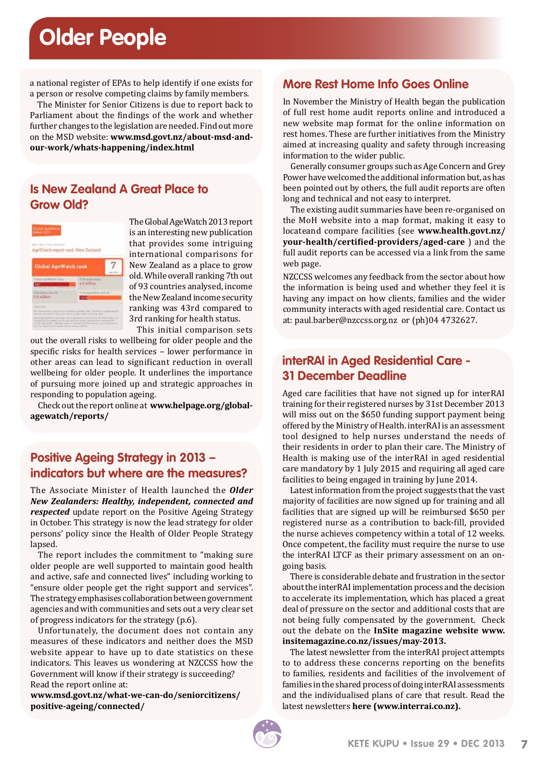# **Older People**

a national register of EPAs to help identify if one exists for a person or resolve competing claims by family members.

The Minister for Senior Citizens is due to report back to Parliament about the findings of the work and whether further changes to the legislation are needed. Find out more on the MSD website: **[www.msd.govt.nz/about-msd-and](http://www.msd.govt.nz/about-msd-and-our-work/whats-happening/index.html)[our-work/whats-happening/index.html](http://www.msd.govt.nz/about-msd-and-our-work/whats-happening/index.html)** 

### **Is New Zealand A Great Place to Grow Old?**



The Global AgeWatch 2013 report is an interesting new publication that provides some intriguing international comparisons for New Zealand as a place to grow old. While overall ranking 7th out of 93 countries analysed, income the New Zealand income security ranking was 43rd compared to 3rd ranking for health status.

This initial comparison sets

out the overall risks to wellbeing for older people and the specific risks for health services – lower performance in other areas can lead to significant reduction in overall wellbeing for older people. It underlines the importance of pursuing more joined up and strategic approaches in responding to population ageing.

Check out the report online at **[www.helpage.org/global](http://www.helpage.org/global-agewatch/reports/)[agewatch/reports/](http://www.helpage.org/global-agewatch/reports/)** 

### **Positive Ageing Strategy in 2013 – indicators but where are the measures?**

The Associate Minister of Health launched the *Older New Zealanders: Healthy, independent, connected and respected* update report on the Positive Ageing Strategy in October. This strategy is now the lead strategy for older persons' policy since the Health of Older People Strategy lapsed.

The report includes the commitment to "making sure older people are well supported to maintain good health and active, safe and connected lives" including working to "ensure older people get the right support and services". The strategy emphasises collaboration between government agencies and with communities and sets out a very clear set of progress indicators for the strategy (p.6).

Unfortunately, the document does not contain any measures of these indicators and neither does the MSD website appear to have up to date statistics on these indicators. This leaves us wondering at NZCCSS how the Government will know if their strategy is succeeding? Read the report online at:

**[www.msd.govt.nz/what-we-can-do/seniorcitizens/](https://www.msd.govt.nz/what-we-can-do/seniorcitizens/positive-ageing/connected/) [positive-ageing/connected/](https://www.msd.govt.nz/what-we-can-do/seniorcitizens/positive-ageing/connected/)**

### **More Rest Home Info Goes Online**

In November the Ministry of Health began the publication of full rest home audit reports online and introduced a new website map format for the online information on rest homes. These are further initiatives from the Ministry aimed at increasing quality and safety through increasing information to the wider public.

Generally consumer groups such as Age Concern and Grey Power have welcomed the additional information but, as has been pointed out by others, the full audit reports are often long and technical and not easy to interpret.

The existing audit summaries have been re-organised on the MoH website into a map format, making it easy to locateand compare facilities (see **[www.health.govt.nz/](www.health.govt.nz/your-health/certified-providers/aged-care) [your-health/certified-providers/aged-care](www.health.govt.nz/your-health/certified-providers/aged-care)** ) and the full audit reports can be accessed via a link from the same web page.

NZCCSS welcomes any feedback from the sector about how the information is being used and whether they feel it is having any impact on how clients, families and the wider community interacts with aged residential care. Contact us at: paul.barber@nzccss.org.nz or (ph)04 4732627.

## **interRAI in Aged Residential Care - 31 December Deadline**

Aged care facilities that have not signed up for interRAI training for their registered nurses by 31st December 2013 will miss out on the \$650 funding support payment being offered by the Ministry of Health. interRAI is an assessment tool designed to help nurses understand the needs of their residents in order to plan their care. The Ministry of Health is making use of the interRAI in aged residential care mandatory by 1 July 2015 and requiring all aged care facilities to being engaged in training by June 2014.

Latest information from the project suggests that the vast majority of facilities are now signed up for training and all facilities that are signed up will be reimbursed \$650 per registered nurse as a contribution to back-fill, provided the nurse achieves competency within a total of 12 weeks. Once competent, the facility must require the nurse to use the interRAI LTCF as their primary assessment on an ongoing basis.

There is considerable debate and frustration in the sector about the interRAI implementation process and the decision to accelerate its implementation, which has placed a great deal of pressure on the sector and additional costs that are not being fully compensated by the government. Check out the debate on the **[InSite magazine website](http://www.insitemagazine.co.nz/issues/may-2013/on-the-soap-box-victoria-brown/#.UqfAaSfomKI) www. insitemagazine.co.nz/issues/may-2013.**

The latest newsletter from the interRAI project attempts to to address these concerns reporting on the benefits to families, residents and facilities of the involvement of families in the shared process of doing interRAI assessments and the individualised plans of care that result. Read the latest newsletters **[here \(www.interrai.co.nz\)](http://www.centraltas.co.nz/LinkClick.aspx?fileticket=qzkF5BUsDSM%3d&tabid=259&mid=93).**